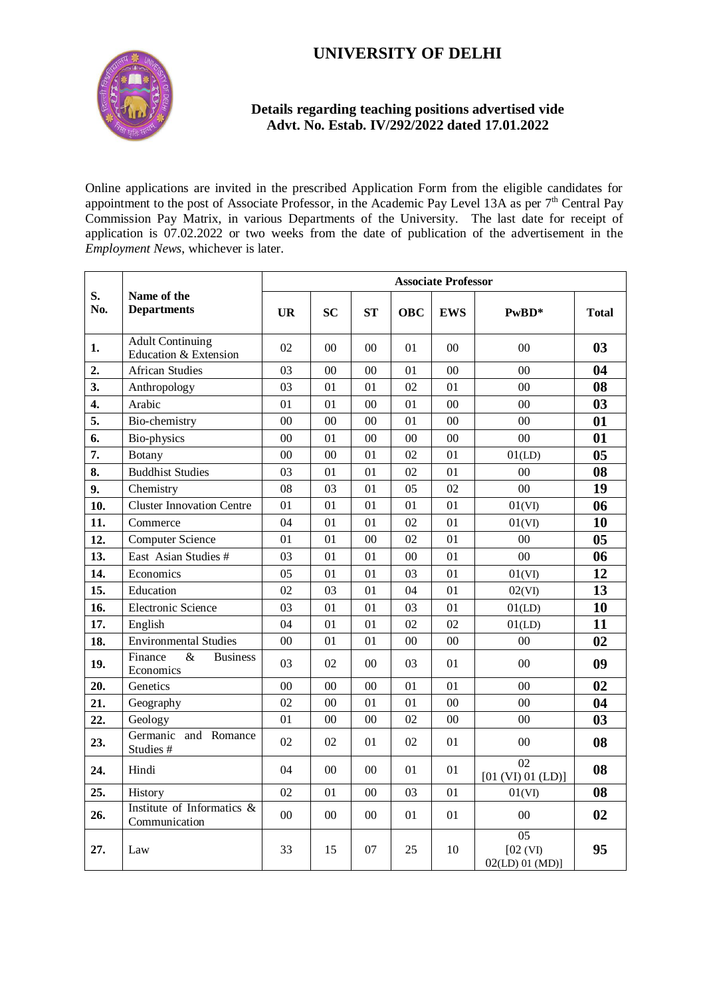## **UNIVERSITY OF DELHI**



## **Details regarding teaching positions advertised vide Advt. No. Estab. IV/292/2022 dated 17.01.2022**

Online applications are invited in the prescribed Application Form from the eligible candidates for appointment to the post of Associate Professor, in the Academic Pay Level 13A as per  $7<sup>th</sup>$  Central Pay Commission Pay Matrix, in various Departments of the University. The last date for receipt of application is 07.02.2022 or two weeks from the date of publication of the advertisement in the *Employment News*, whichever is later.

| S.<br>No. | Name of the<br><b>Departments</b>                | <b>Associate Professor</b> |                |                |            |                |                                   |                |  |
|-----------|--------------------------------------------------|----------------------------|----------------|----------------|------------|----------------|-----------------------------------|----------------|--|
|           |                                                  | <b>UR</b>                  | <b>SC</b>      | <b>ST</b>      | <b>OBC</b> | <b>EWS</b>     | PwBD*                             | <b>Total</b>   |  |
| 1.        | <b>Adult Continuing</b><br>Education & Extension | 02                         | 0 <sub>0</sub> | 0 <sub>0</sub> | 01         | 0 <sup>0</sup> | 0 <sup>0</sup>                    | 03             |  |
| 2.        | <b>African Studies</b>                           | 03                         | 00             | 00             | 01         | 00             | 0 <sub>0</sub>                    | 04             |  |
| 3.        | Anthropology                                     | 03                         | 01             | 01             | 02         | 01             | $00\,$                            | 08             |  |
| 4.        | Arabic                                           | 01                         | 01             | $00\,$         | 01         | $00\,$         | 0 <sub>0</sub>                    | 0 <sub>3</sub> |  |
| 5.        | Bio-chemistry                                    | $00\,$                     | 0 <sup>0</sup> | 0 <sup>0</sup> | 01         | 0 <sup>0</sup> | 0 <sub>0</sub>                    | 01             |  |
| 6.        | Bio-physics                                      | 00                         | 01             | 00             | $00\,$     | $00\,$         | 00                                | 01             |  |
| 7.        | <b>Botany</b>                                    | $00\,$                     | $00\,$         | 01             | 02         | 01             | 01(LD)                            | 0 <sub>5</sub> |  |
| 8.        | <b>Buddhist Studies</b>                          | 03                         | 01             | 01             | 02         | 01             | 00                                | 08             |  |
| 9.        | Chemistry                                        | 08                         | 03             | 01             | 05         | 02             | 0 <sub>0</sub>                    | 19             |  |
| 10.       | <b>Cluster Innovation Centre</b>                 | 01                         | 01             | 01             | 01         | 01             | 01(VI)                            | 06             |  |
| 11.       | Commerce                                         | 04                         | 01             | 01             | 02         | 01             | 01(VI)                            | 10             |  |
| 12.       | Computer Science                                 | 01                         | 01             | $00\,$         | 02         | 01             | $00\,$                            | 0 <sub>5</sub> |  |
| 13.       | East Asian Studies #                             | 03                         | 01             | 01             | $00\,$     | 01             | 00                                | 06             |  |
| 14.       | Economics                                        | 05                         | 01             | 01             | 03         | 01             | 01(VI)                            | 12             |  |
| 15.       | Education                                        | 02                         | 03             | 01             | 04         | 01             | 02(VI)                            | 13             |  |
| 16.       | Electronic Science                               | 03                         | 01             | 01             | 03         | 01             | 01(LD)                            | 10             |  |
| 17.       | English                                          | 04                         | 01             | 01             | 02         | 02             | 01(LD)                            | 11             |  |
| 18.       | <b>Environmental Studies</b>                     | 0 <sub>0</sub>             | 01             | 01             | $00\,$     | 00             | 0 <sub>0</sub>                    | 02             |  |
| 19.       | Finance<br>&<br><b>Business</b><br>Economics     | 03                         | 02             | 00             | 03         | 01             | 0 <sup>0</sup>                    | 09             |  |
| 20.       | Genetics                                         | $00\,$                     | $00\,$         | $00\,$         | 01         | 01             | 0 <sup>0</sup>                    | 02             |  |
| 21.       | Geography                                        | 02                         | $00\,$         | 01             | 01         | $00\,$         | 00                                | 04             |  |
| 22.       | Geology                                          | 01                         | $00\,$         | $00\,$         | 02         | $00\,$         | 00                                | 0 <sub>3</sub> |  |
| 23.       | Germanic and Romance<br>Studies #                | 02                         | 02             | 01             | 02         | 01             | 00                                | 08             |  |
| 24.       | Hindi                                            | 04                         | 00             | $00\,$         | 01         | 01             | 02<br>[01 (VI) 01 (LD)]           | 08             |  |
| 25.       | History                                          | 02                         | 01             | 00             | 03         | 01             | 01(VI)                            | 08             |  |
| 26.       | Institute of Informatics &<br>Communication      | $00\,$                     | 00             | $00\,$         | 01         | 01             | $00\,$                            | 02             |  |
| 27.       | Law                                              | 33                         | 15             | 07             | 25         | 10             | 05<br>[02 (VI)<br>02(LD) 01 (MD)] | 95             |  |